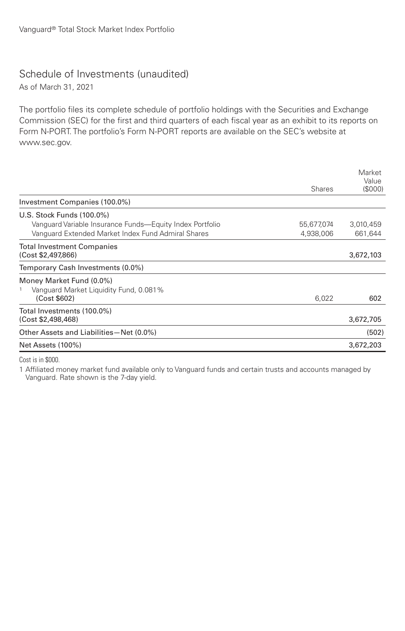## Schedule of Investments (unaudited)

As of March 31, 2021

The portfolio files its complete schedule of portfolio holdings with the Securities and Exchange Commission (SEC) for the first and third quarters of each fiscal year as an exhibit to its reports on Form N-PORT. The portfolio's Form N-PORT reports are available on the SEC's website at www.sec.gov.

| Investment Companies (100.0%)                                                                                                               | <b>Shares</b>           | Market<br>Value<br>(\$000) |
|---------------------------------------------------------------------------------------------------------------------------------------------|-------------------------|----------------------------|
| U.S. Stock Funds (100.0%)<br>Vanguard Variable Insurance Funds—Equity Index Portfolio<br>Vanguard Extended Market Index Fund Admiral Shares | 55,677,074<br>4,938,006 | 3,010,459<br>661.644       |
| <b>Total Investment Companies</b><br>(Cost \$2,497,866)                                                                                     |                         | 3,672,103                  |
| Temporary Cash Investments (0.0%)                                                                                                           |                         |                            |
| Money Market Fund (0.0%)<br>Vanguard Market Liquidity Fund, 0.081%<br>(Cost \$602)                                                          | 6,022                   | 602                        |
| Total Investments (100.0%)<br>(Cost \$2,498,468)                                                                                            |                         | 3,672,705                  |
| Other Assets and Liabilities-Net (0.0%)                                                                                                     |                         | (502)                      |
| Net Assets (100%)                                                                                                                           |                         | 3,672,203                  |

Cost is in \$000.

1 Affiliated money market fund available only to Vanguard funds and certain trusts and accounts managed by Vanguard. Rate shown is the 7-day yield.